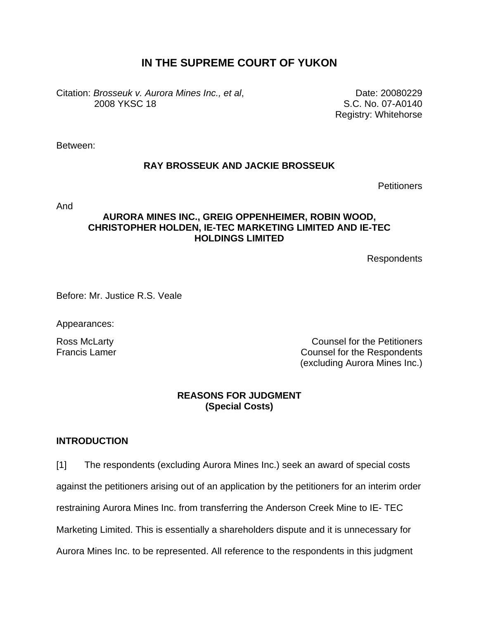# **IN THE SUPREME COURT OF YUKON**

Citation: *Brosseuk v. Aurora Mines Inc., et al*, 2008 YKSC 18

Date: 20080229 S.C. No. 07-A0140 Registry: Whitehorse

Between:

#### **RAY BROSSEUK AND JACKIE BROSSEUK**

**Petitioners** 

And

### **AURORA MINES INC., GREIG OPPENHEIMER, ROBIN WOOD, CHRISTOPHER HOLDEN, IE-TEC MARKETING LIMITED AND IE-TEC HOLDINGS LIMITED**

Respondents

Before: Mr. Justice R.S. Veale

Appearances:

Ross McLarty Counsel for the Petitioners Francis Lamer **Counsel for the Respondents** (excluding Aurora Mines Inc.)

#### **REASONS FOR JUDGMENT (Special Costs)**

#### **INTRODUCTION**

[1] The respondents (excluding Aurora Mines Inc.) seek an award of special costs against the petitioners arising out of an application by the petitioners for an interim order restraining Aurora Mines Inc. from transferring the Anderson Creek Mine to IE- TEC Marketing Limited. This is essentially a shareholders dispute and it is unnecessary for Aurora Mines Inc. to be represented. All reference to the respondents in this judgment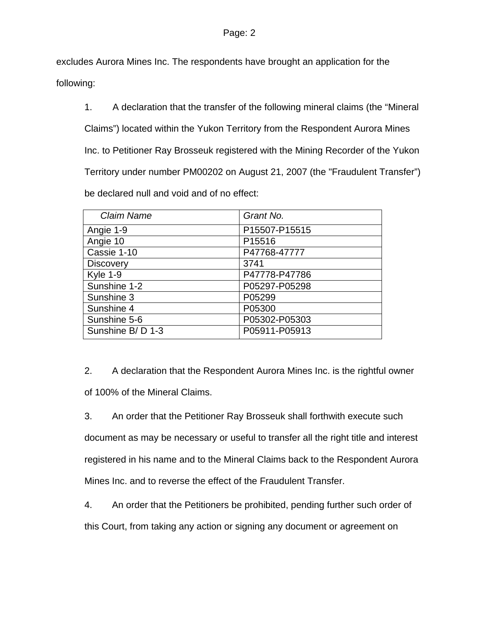excludes Aurora Mines Inc. The respondents have brought an application for the

following:

1. A declaration that the transfer of the following mineral claims (the "Mineral Claims") located within the Yukon Territory from the Respondent Aurora Mines Inc. to Petitioner Ray Brosseuk registered with the Mining Recorder of the Yukon Territory under number PM00202 on August 21, 2007 (the "Fraudulent Transfer") be declared null and void and of no effect:

| <b>Claim Name</b> | Grant No.     |
|-------------------|---------------|
| Angie 1-9         | P15507-P15515 |
| Angie 10          | P15516        |
| Cassie 1-10       | P47768-47777  |
| <b>Discovery</b>  | 3741          |
| <b>Kyle 1-9</b>   | P47778-P47786 |
| Sunshine 1-2      | P05297-P05298 |
| Sunshine 3        | P05299        |
| Sunshine 4        | P05300        |
| Sunshine 5-6      | P05302-P05303 |
| Sunshine B/D 1-3  | P05911-P05913 |

2. A declaration that the Respondent Aurora Mines Inc. is the rightful owner of 100% of the Mineral Claims.

3. An order that the Petitioner Ray Brosseuk shall forthwith execute such document as may be necessary or useful to transfer all the right title and interest registered in his name and to the Mineral Claims back to the Respondent Aurora Mines Inc. and to reverse the effect of the Fraudulent Transfer.

4. An order that the Petitioners be prohibited, pending further such order of this Court, from taking any action or signing any document or agreement on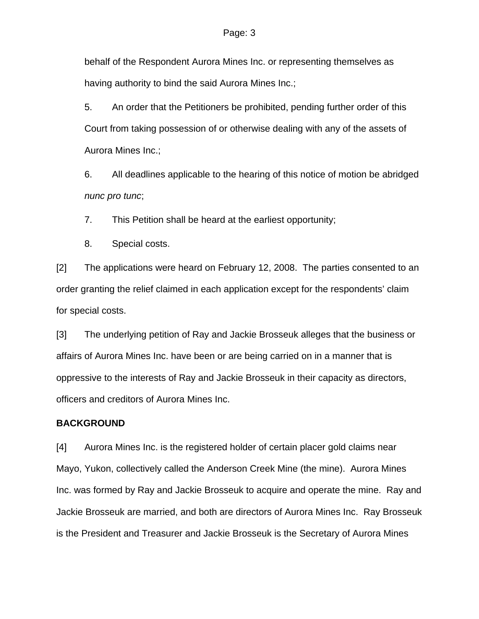behalf of the Respondent Aurora Mines Inc. or representing themselves as having authority to bind the said Aurora Mines Inc.;

5. An order that the Petitioners be prohibited, pending further order of this Court from taking possession of or otherwise dealing with any of the assets of Aurora Mines Inc.;

6. All deadlines applicable to the hearing of this notice of motion be abridged *nunc pro tunc*;

7. This Petition shall be heard at the earliest opportunity;

8. Special costs.

[2] The applications were heard on February 12, 2008. The parties consented to an order granting the relief claimed in each application except for the respondents' claim for special costs.

[3] The underlying petition of Ray and Jackie Brosseuk alleges that the business or affairs of Aurora Mines Inc. have been or are being carried on in a manner that is oppressive to the interests of Ray and Jackie Brosseuk in their capacity as directors, officers and creditors of Aurora Mines Inc.

#### **BACKGROUND**

[4] Aurora Mines Inc. is the registered holder of certain placer gold claims near Mayo, Yukon, collectively called the Anderson Creek Mine (the mine). Aurora Mines Inc. was formed by Ray and Jackie Brosseuk to acquire and operate the mine. Ray and Jackie Brosseuk are married, and both are directors of Aurora Mines Inc. Ray Brosseuk is the President and Treasurer and Jackie Brosseuk is the Secretary of Aurora Mines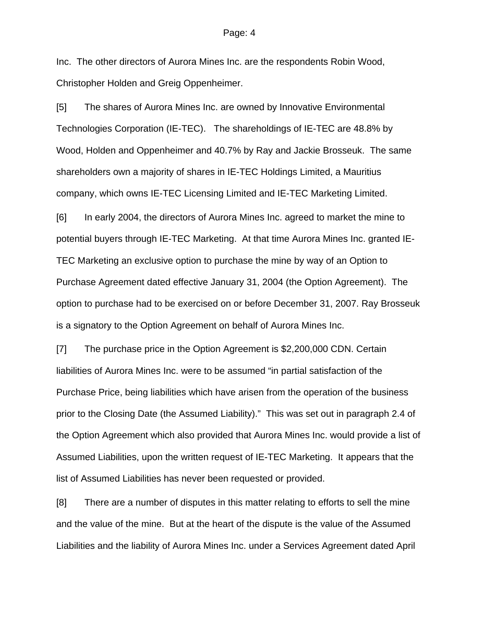#### Page: 4

Inc. The other directors of Aurora Mines Inc. are the respondents Robin Wood, Christopher Holden and Greig Oppenheimer.

[5] The shares of Aurora Mines Inc. are owned by Innovative Environmental Technologies Corporation (IE-TEC). The shareholdings of IE-TEC are 48.8% by Wood, Holden and Oppenheimer and 40.7% by Ray and Jackie Brosseuk. The same shareholders own a majority of shares in IE-TEC Holdings Limited, a Mauritius company, which owns IE-TEC Licensing Limited and IE-TEC Marketing Limited.

[6] In early 2004, the directors of Aurora Mines Inc. agreed to market the mine to potential buyers through IE-TEC Marketing. At that time Aurora Mines Inc. granted IE-TEC Marketing an exclusive option to purchase the mine by way of an Option to Purchase Agreement dated effective January 31, 2004 (the Option Agreement). The option to purchase had to be exercised on or before December 31, 2007. Ray Brosseuk is a signatory to the Option Agreement on behalf of Aurora Mines Inc.

[7] The purchase price in the Option Agreement is \$2,200,000 CDN. Certain liabilities of Aurora Mines Inc. were to be assumed "in partial satisfaction of the Purchase Price, being liabilities which have arisen from the operation of the business prior to the Closing Date (the Assumed Liability)." This was set out in paragraph 2.4 of the Option Agreement which also provided that Aurora Mines Inc. would provide a list of Assumed Liabilities, upon the written request of IE-TEC Marketing. It appears that the list of Assumed Liabilities has never been requested or provided.

[8] There are a number of disputes in this matter relating to efforts to sell the mine and the value of the mine. But at the heart of the dispute is the value of the Assumed Liabilities and the liability of Aurora Mines Inc. under a Services Agreement dated April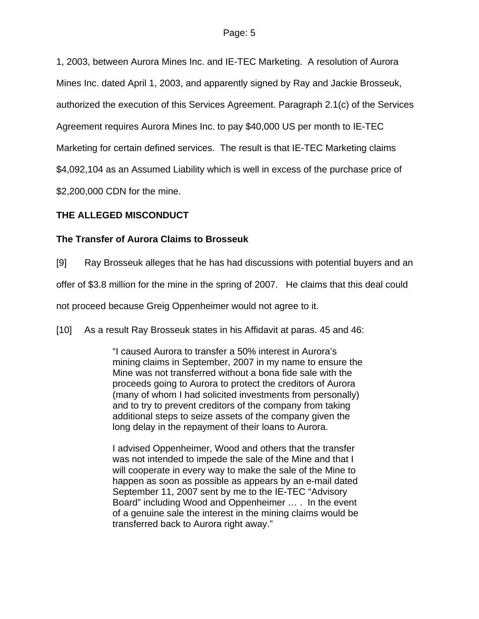1, 2003, between Aurora Mines Inc. and IE-TEC Marketing. A resolution of Aurora Mines Inc. dated April 1, 2003, and apparently signed by Ray and Jackie Brosseuk, authorized the execution of this Services Agreement. Paragraph 2.1(c) of the Services Agreement requires Aurora Mines Inc. to pay \$40,000 US per month to IE-TEC Marketing for certain defined services. The result is that IE-TEC Marketing claims \$4,092,104 as an Assumed Liability which is well in excess of the purchase price of \$2,200,000 CDN for the mine.

## **THE ALLEGED MISCONDUCT**

## **The Transfer of Aurora Claims to Brosseuk**

[9] Ray Brosseuk alleges that he has had discussions with potential buyers and an

offer of \$3.8 million for the mine in the spring of 2007. He claims that this deal could

not proceed because Greig Oppenheimer would not agree to it.

[10] As a result Ray Brosseuk states in his Affidavit at paras. 45 and 46:

"I caused Aurora to transfer a 50% interest in Aurora's mining claims in September, 2007 in my name to ensure the Mine was not transferred without a bona fide sale with the proceeds going to Aurora to protect the creditors of Aurora (many of whom I had solicited investments from personally) and to try to prevent creditors of the company from taking additional steps to seize assets of the company given the long delay in the repayment of their loans to Aurora.

I advised Oppenheimer, Wood and others that the transfer was not intended to impede the sale of the Mine and that I will cooperate in every way to make the sale of the Mine to happen as soon as possible as appears by an e-mail dated September 11, 2007 sent by me to the IE-TEC "Advisory Board" including Wood and Oppenheimer … . In the event of a genuine sale the interest in the mining claims would be transferred back to Aurora right away."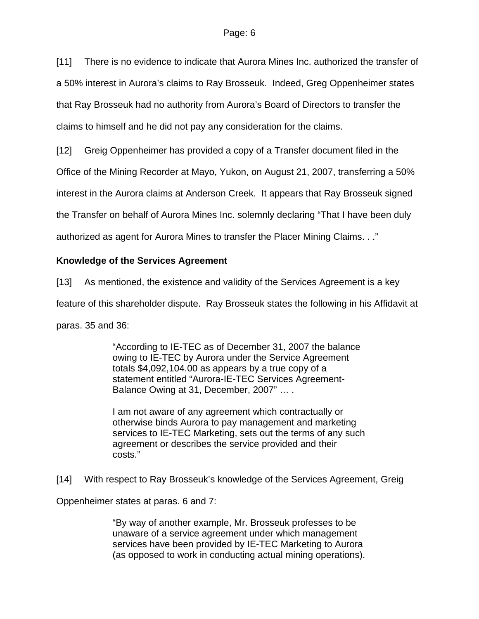[11] There is no evidence to indicate that Aurora Mines Inc. authorized the transfer of a 50% interest in Aurora's claims to Ray Brosseuk. Indeed, Greg Oppenheimer states that Ray Brosseuk had no authority from Aurora's Board of Directors to transfer the claims to himself and he did not pay any consideration for the claims.

[12] Greig Oppenheimer has provided a copy of a Transfer document filed in the

Office of the Mining Recorder at Mayo, Yukon, on August 21, 2007, transferring a 50%

interest in the Aurora claims at Anderson Creek. It appears that Ray Brosseuk signed

the Transfer on behalf of Aurora Mines Inc. solemnly declaring "That I have been duly

authorized as agent for Aurora Mines to transfer the Placer Mining Claims. . ."

### **Knowledge of the Services Agreement**

[13] As mentioned, the existence and validity of the Services Agreement is a key

feature of this shareholder dispute. Ray Brosseuk states the following in his Affidavit at

paras. 35 and 36:

"According to IE-TEC as of December 31, 2007 the balance owing to IE-TEC by Aurora under the Service Agreement totals \$4,092,104.00 as appears by a true copy of a statement entitled "Aurora-IE-TEC Services Agreement-Balance Owing at 31, December, 2007" … .

I am not aware of any agreement which contractually or otherwise binds Aurora to pay management and marketing services to IE-TEC Marketing, sets out the terms of any such agreement or describes the service provided and their costs."

[14] With respect to Ray Brosseuk's knowledge of the Services Agreement, Greig

Oppenheimer states at paras. 6 and 7:

"By way of another example, Mr. Brosseuk professes to be unaware of a service agreement under which management services have been provided by IE-TEC Marketing to Aurora (as opposed to work in conducting actual mining operations).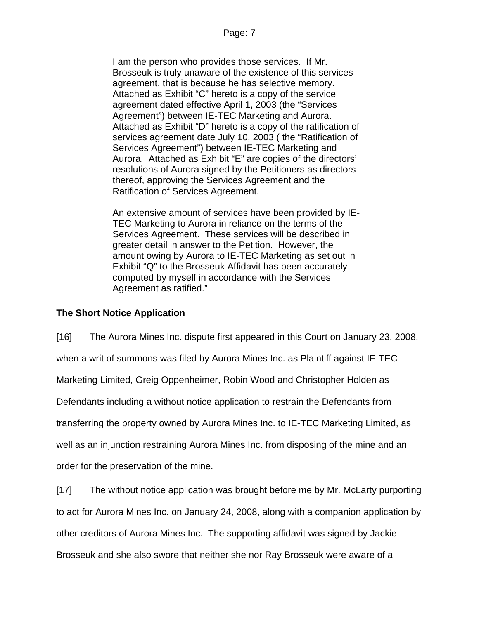I am the person who provides those services. If Mr. Brosseuk is truly unaware of the existence of this services agreement, that is because he has selective memory. Attached as Exhibit "C" hereto is a copy of the service agreement dated effective April 1, 2003 (the "Services Agreement") between IE-TEC Marketing and Aurora. Attached as Exhibit "D" hereto is a copy of the ratification of services agreement date July 10, 2003 ( the "Ratification of Services Agreement") between IE-TEC Marketing and Aurora. Attached as Exhibit "E" are copies of the directors' resolutions of Aurora signed by the Petitioners as directors thereof, approving the Services Agreement and the Ratification of Services Agreement.

An extensive amount of services have been provided by IE-TEC Marketing to Aurora in reliance on the terms of the Services Agreement. These services will be described in greater detail in answer to the Petition. However, the amount owing by Aurora to IE-TEC Marketing as set out in Exhibit "Q" to the Brosseuk Affidavit has been accurately computed by myself in accordance with the Services Agreement as ratified."

## **The Short Notice Application**

[16] The Aurora Mines Inc. dispute first appeared in this Court on January 23, 2008, when a writ of summons was filed by Aurora Mines Inc. as Plaintiff against IE-TEC Marketing Limited, Greig Oppenheimer, Robin Wood and Christopher Holden as Defendants including a without notice application to restrain the Defendants from transferring the property owned by Aurora Mines Inc. to IE-TEC Marketing Limited, as well as an injunction restraining Aurora Mines Inc. from disposing of the mine and an order for the preservation of the mine.

[17] The without notice application was brought before me by Mr. McLarty purporting to act for Aurora Mines Inc. on January 24, 2008, along with a companion application by other creditors of Aurora Mines Inc. The supporting affidavit was signed by Jackie Brosseuk and she also swore that neither she nor Ray Brosseuk were aware of a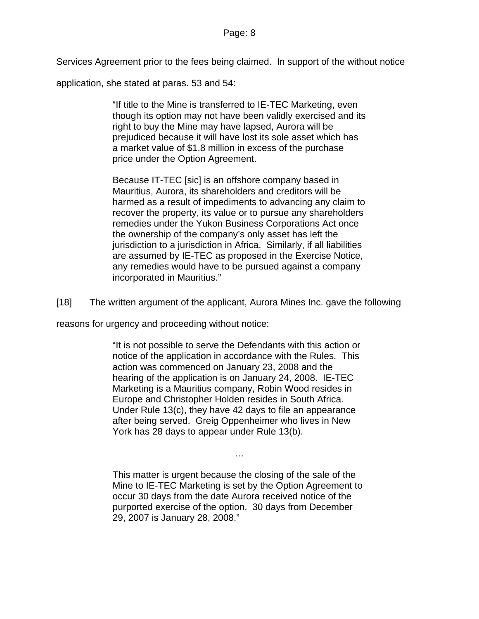Services Agreement prior to the fees being claimed. In support of the without notice

application, she stated at paras. 53 and 54:

"If title to the Mine is transferred to IE-TEC Marketing, even though its option may not have been validly exercised and its right to buy the Mine may have lapsed, Aurora will be prejudiced because it will have lost its sole asset which has a market value of \$1.8 million in excess of the purchase price under the Option Agreement.

Because IT-TEC [sic] is an offshore company based in Mauritius, Aurora, its shareholders and creditors will be harmed as a result of impediments to advancing any claim to recover the property, its value or to pursue any shareholders remedies under the Yukon Business Corporations Act once the ownership of the company's only asset has left the jurisdiction to a jurisdiction in Africa. Similarly, if all liabilities are assumed by IE-TEC as proposed in the Exercise Notice, any remedies would have to be pursued against a company incorporated in Mauritius."

[18] The written argument of the applicant, Aurora Mines Inc. gave the following

reasons for urgency and proceeding without notice:

"It is not possible to serve the Defendants with this action or notice of the application in accordance with the Rules. This action was commenced on January 23, 2008 and the hearing of the application is on January 24, 2008. IE-TEC Marketing is a Mauritius company, Robin Wood resides in Europe and Christopher Holden resides in South Africa. Under Rule 13(c), they have 42 days to file an appearance after being served. Greig Oppenheimer who lives in New York has 28 days to appear under Rule 13(b).

This matter is urgent because the closing of the sale of the Mine to IE-TEC Marketing is set by the Option Agreement to occur 30 days from the date Aurora received notice of the purported exercise of the option. 30 days from December 29, 2007 is January 28, 2008."

…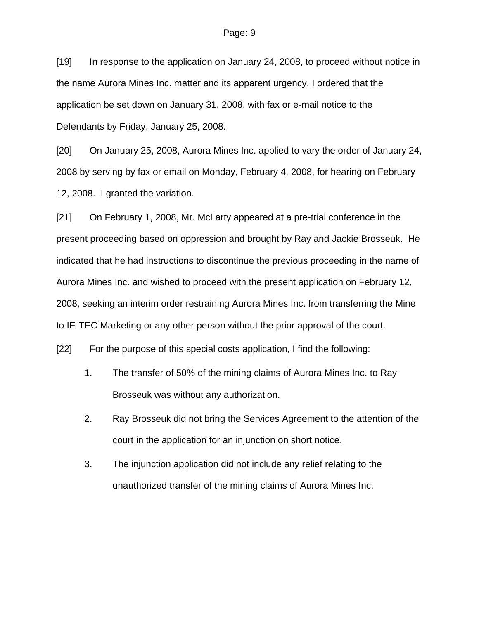[19] In response to the application on January 24, 2008, to proceed without notice in the name Aurora Mines Inc. matter and its apparent urgency, I ordered that the application be set down on January 31, 2008, with fax or e-mail notice to the Defendants by Friday, January 25, 2008.

[20] On January 25, 2008, Aurora Mines Inc. applied to vary the order of January 24, 2008 by serving by fax or email on Monday, February 4, 2008, for hearing on February 12, 2008. I granted the variation.

[21] On February 1, 2008, Mr. McLarty appeared at a pre-trial conference in the present proceeding based on oppression and brought by Ray and Jackie Brosseuk. He indicated that he had instructions to discontinue the previous proceeding in the name of Aurora Mines Inc. and wished to proceed with the present application on February 12, 2008, seeking an interim order restraining Aurora Mines Inc. from transferring the Mine to IE-TEC Marketing or any other person without the prior approval of the court.

[22] For the purpose of this special costs application, I find the following:

- 1. The transfer of 50% of the mining claims of Aurora Mines Inc. to Ray Brosseuk was without any authorization.
- 2. Ray Brosseuk did not bring the Services Agreement to the attention of the court in the application for an injunction on short notice.
- 3. The injunction application did not include any relief relating to the unauthorized transfer of the mining claims of Aurora Mines Inc.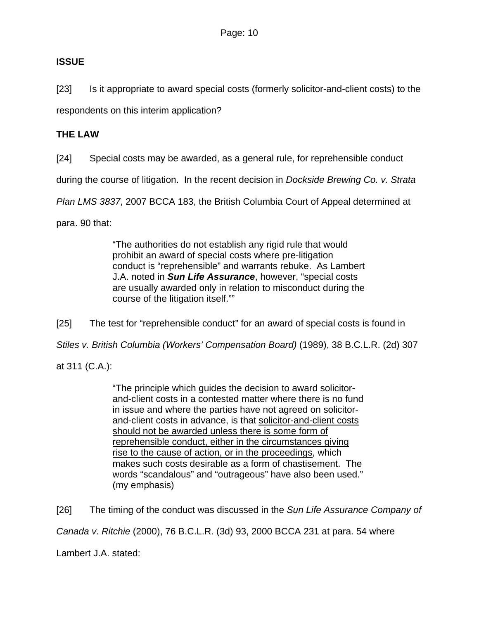# **ISSUE**

[23] Is it appropriate to award special costs (formerly solicitor-and-client costs) to the respondents on this interim application?

# **THE LAW**

[24] Special costs may be awarded, as a general rule, for reprehensible conduct

during the course of litigation. In the recent decision in *Dockside Brewing Co. v. Strata* 

*Plan LMS 3837*, 2007 BCCA 183, the British Columbia Court of Appeal determined at

para. 90 that:

"The authorities do not establish any rigid rule that would prohibit an award of special costs where pre-litigation conduct is "reprehensible" and warrants rebuke. As Lambert J.A. noted in *Sun Life Assurance*, however, "special costs are usually awarded only in relation to misconduct during the course of the litigation itself.""

[25] The test for "reprehensible conduct" for an award of special costs is found in

*Stiles v. British Columbia (Workers' Compensation Board)* (1989), 38 B.C.L.R. (2d) 307

at 311 (C.A.):

"The principle which guides the decision to award solicitorand-client costs in a contested matter where there is no fund in issue and where the parties have not agreed on solicitorand-client costs in advance, is that solicitor-and-client costs should not be awarded unless there is some form of reprehensible conduct, either in the circumstances giving rise to the cause of action, or in the proceedings, which makes such costs desirable as a form of chastisement. The words "scandalous" and "outrageous" have also been used." (my emphasis)

[26] The timing of the conduct was discussed in the *Sun Life Assurance Company of* 

*Canada v. Ritchie* (2000), 76 B.C.L.R. (3d) 93, 2000 BCCA 231 at para. 54 where

Lambert J.A. stated: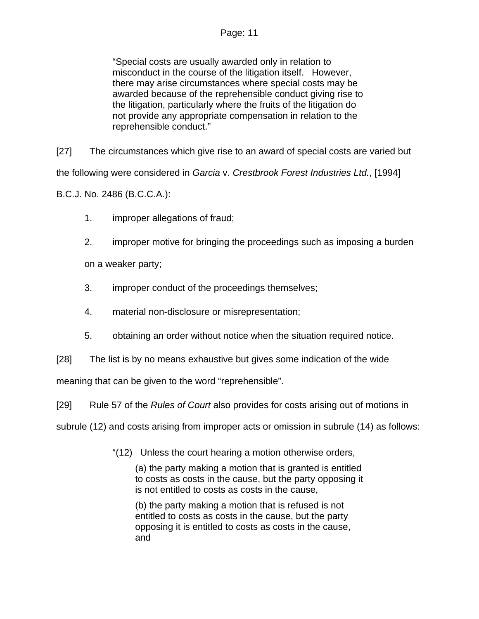### Page: 11

"Special costs are usually awarded only in relation to misconduct in the course of the litigation itself. However, there may arise circumstances where special costs may be awarded because of the reprehensible conduct giving rise to the litigation, particularly where the fruits of the litigation do not provide any appropriate compensation in relation to the reprehensible conduct."

[27] The circumstances which give rise to an award of special costs are varied but the following were considered in *Garcia* v. *Crestbrook Forest Industries Ltd.*, [1994]

B.C.J. No. 2486 (B.C.C.A.):

- 1. improper allegations of fraud;
- 2. improper motive for bringing the proceedings such as imposing a burden

on a weaker party;

- 3. improper conduct of the proceedings themselves;
- 4. material non-disclosure or misrepresentation;
- 5. obtaining an order without notice when the situation required notice.
- [28] The list is by no means exhaustive but gives some indication of the wide

meaning that can be given to the word "reprehensible".

[29] Rule 57 of the *Rules of Court* also provides for costs arising out of motions in

subrule (12) and costs arising from improper acts or omission in subrule (14) as follows:

"(12) Unless the court hearing a motion otherwise orders,

(a) the party making a motion that is granted is entitled to costs as costs in the cause, but the party opposing it is not entitled to costs as costs in the cause,

(b) the party making a motion that is refused is not entitled to costs as costs in the cause, but the party opposing it is entitled to costs as costs in the cause, and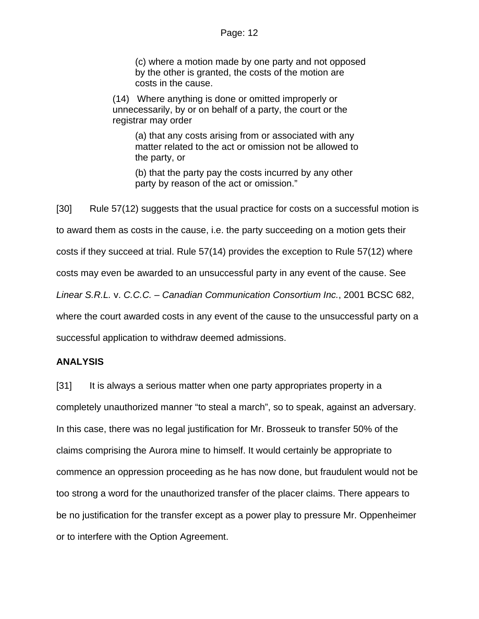(c) where a motion made by one party and not opposed by the other is granted, the costs of the motion are costs in the cause.

(14) Where anything is done or omitted improperly or unnecessarily, by or on behalf of a party, the court or the registrar may order

(a) that any costs arising from or associated with any matter related to the act or omission not be allowed to the party, or

(b) that the party pay the costs incurred by any other party by reason of the act or omission."

[30] Rule 57(12) suggests that the usual practice for costs on a successful motion is to award them as costs in the cause, i.e. the party succeeding on a motion gets their costs if they succeed at trial. Rule 57(14) provides the exception to Rule 57(12) where costs may even be awarded to an unsuccessful party in any event of the cause. See *Linear S.R.L.* v. *C.C.C. – Canadian Communication Consortium Inc.*, 2001 BCSC 682, where the court awarded costs in any event of the cause to the unsuccessful party on a successful application to withdraw deemed admissions.

#### **ANALYSIS**

[31] It is always a serious matter when one party appropriates property in a completely unauthorized manner "to steal a march", so to speak, against an adversary. In this case, there was no legal justification for Mr. Brosseuk to transfer 50% of the claims comprising the Aurora mine to himself. It would certainly be appropriate to commence an oppression proceeding as he has now done, but fraudulent would not be too strong a word for the unauthorized transfer of the placer claims. There appears to be no justification for the transfer except as a power play to pressure Mr. Oppenheimer or to interfere with the Option Agreement.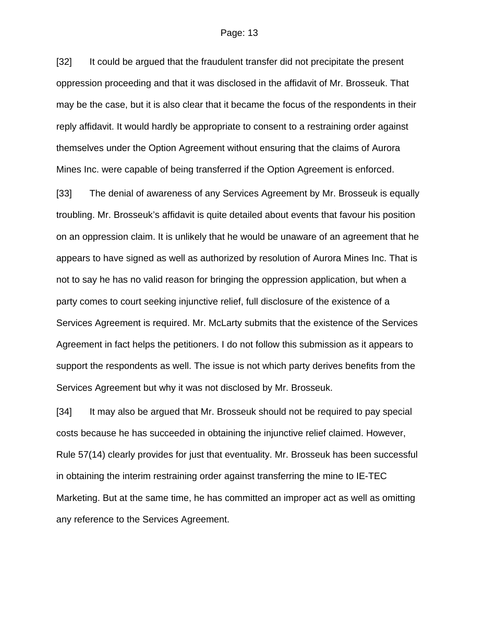#### Page: 13

[32] It could be argued that the fraudulent transfer did not precipitate the present oppression proceeding and that it was disclosed in the affidavit of Mr. Brosseuk. That may be the case, but it is also clear that it became the focus of the respondents in their reply affidavit. It would hardly be appropriate to consent to a restraining order against themselves under the Option Agreement without ensuring that the claims of Aurora Mines Inc. were capable of being transferred if the Option Agreement is enforced.

[33] The denial of awareness of any Services Agreement by Mr. Brosseuk is equally troubling. Mr. Brosseuk's affidavit is quite detailed about events that favour his position on an oppression claim. It is unlikely that he would be unaware of an agreement that he appears to have signed as well as authorized by resolution of Aurora Mines Inc. That is not to say he has no valid reason for bringing the oppression application, but when a party comes to court seeking injunctive relief, full disclosure of the existence of a Services Agreement is required. Mr. McLarty submits that the existence of the Services Agreement in fact helps the petitioners. I do not follow this submission as it appears to support the respondents as well. The issue is not which party derives benefits from the Services Agreement but why it was not disclosed by Mr. Brosseuk.

[34] It may also be argued that Mr. Brosseuk should not be required to pay special costs because he has succeeded in obtaining the injunctive relief claimed. However, Rule 57(14) clearly provides for just that eventuality. Mr. Brosseuk has been successful in obtaining the interim restraining order against transferring the mine to IE-TEC Marketing. But at the same time, he has committed an improper act as well as omitting any reference to the Services Agreement.